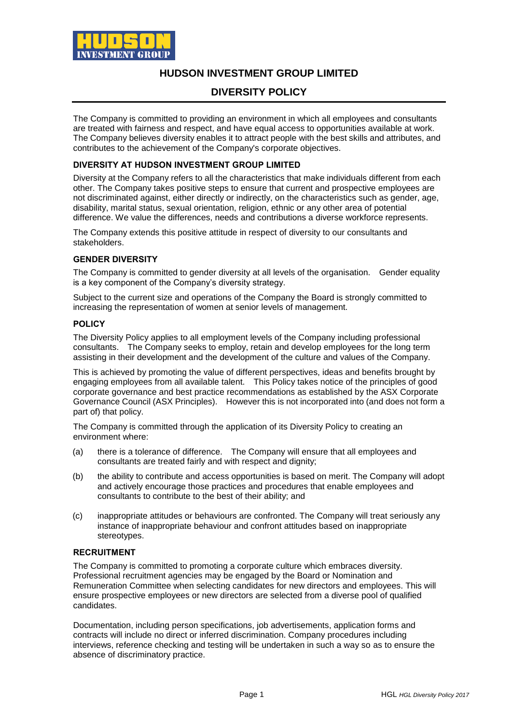

## **HUDSON INVESTMENT GROUP LIMITED**

# **DIVERSITY POLICY**

The Company is committed to providing an environment in which all employees and consultants are treated with fairness and respect, and have equal access to opportunities available at work. The Company believes diversity enables it to attract people with the best skills and attributes, and contributes to the achievement of the Company's corporate objectives.

### **DIVERSITY AT HUDSON INVESTMENT GROUP LIMITED**

Diversity at the Company refers to all the characteristics that make individuals different from each other. The Company takes positive steps to ensure that current and prospective employees are not discriminated against, either directly or indirectly, on the characteristics such as gender, age, disability, marital status, sexual orientation, religion, ethnic or any other area of potential difference. We value the differences, needs and contributions a diverse workforce represents.

The Company extends this positive attitude in respect of diversity to our consultants and stakeholders.

### **GENDER DIVERSITY**

The Company is committed to gender diversity at all levels of the organisation. Gender equality is a key component of the Company's diversity strategy.

Subject to the current size and operations of the Company the Board is strongly committed to increasing the representation of women at senior levels of management.

#### **POLICY**

The Diversity Policy applies to all employment levels of the Company including professional consultants. The Company seeks to employ, retain and develop employees for the long term assisting in their development and the development of the culture and values of the Company.

This is achieved by promoting the value of different perspectives, ideas and benefits brought by engaging employees from all available talent. This Policy takes notice of the principles of good corporate governance and best practice recommendations as established by the ASX Corporate Governance Council (ASX Principles). However this is not incorporated into (and does not form a part of) that policy.

The Company is committed through the application of its Diversity Policy to creating an environment where:

- (a) there is a tolerance of difference. The Company will ensure that all employees and consultants are treated fairly and with respect and dignity;
- (b) the ability to contribute and access opportunities is based on merit. The Company will adopt and actively encourage those practices and procedures that enable employees and consultants to contribute to the best of their ability; and
- (c) inappropriate attitudes or behaviours are confronted. The Company will treat seriously any instance of inappropriate behaviour and confront attitudes based on inappropriate stereotypes.

#### **RECRUITMENT**

The Company is committed to promoting a corporate culture which embraces diversity. Professional recruitment agencies may be engaged by the Board or Nomination and Remuneration Committee when selecting candidates for new directors and employees. This will ensure prospective employees or new directors are selected from a diverse pool of qualified candidates.

Documentation, including person specifications, job advertisements, application forms and contracts will include no direct or inferred discrimination. Company procedures including interviews, reference checking and testing will be undertaken in such a way so as to ensure the absence of discriminatory practice.